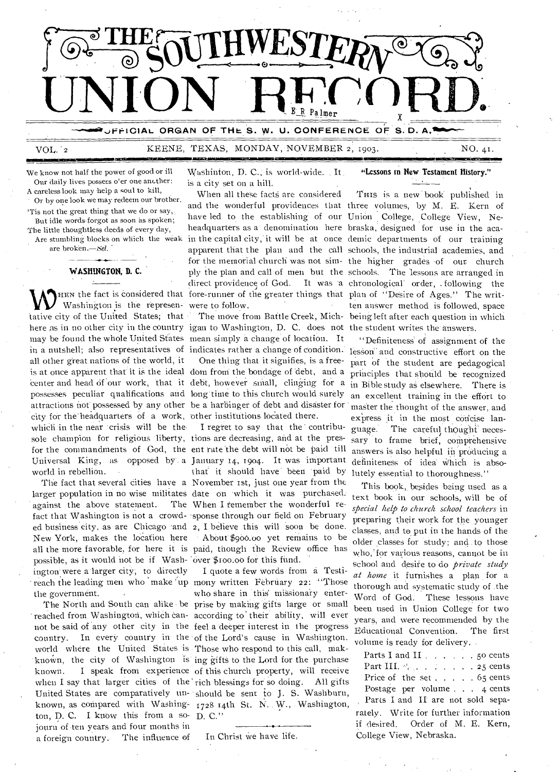

VOL. '2 KEENE, TEXAS, MONDAY, - NOVEMBER 2, 1903. NO. 41 .

We know not half the power of good or ill Our daily lives possess o'er one another: A careless look may help a soul to kill,

Or by one look we may redeem our brother.

'Tis not the great thing that we do or say, But idle words forgot as soon as spoken; The little thoughtless deeds of every day,

Are stumbling blocks on which the weak are broken.-Sel.

# **WASHINGTON, D. C.**

Washington is the represen-were to follow. tative city of the United States; that here as in no other city in the country igan to Washington, D. C. does not the student writes the answers. may be found the whole United Sfates mean simply a change of location. It in a nutshell; also representatives of indicates rather a change of condition. all other great nations of the world, it is at once apparent that' it is the ideal dom from the bondage of 'debt, and a center and head of our work, that it debt, however small, clinging for a possesses peculiar qualifications and long time to this church would surely attractions not possessed by any other be a harbinger of debt and disaster for city for the'headquarters of a work, other institutions located there. which in the near 'crisis will be the sole champion for religious liberty, tions are decreasing, and at the presworld in rebellion.

larger population in no wise militates date on which it was purchased. against the above statement. fact that Washington is not a crowd-'sponse through our field on February ed business city, as are Chicago 'and 2, I believe this will soon be done. New York, makes the location here all the more favorable, for here it is paid, though the Review office has possible, as it would not be if Wash-'over \$100.00 for this fund. ington were a larger city; to directly the government.

reached from Washington, which can-according to' their ability, will ever not be said of 'any other city in the feel a deeper interest in the progress country. In every country in the of the Lord's cause in Washington. world where the United States is Those who respond to this call, makton, D. C. I know this from a so-D. C." journ of ten years and four months in a foreign country. The influence of

Washinton, D. C.; is world-wide. It is a city set on a hill.

**7111MINE** 

HEN the fact is Considered that fore-runner of the greater things that plan of "Desire of Ages." The writ-When all these facts are considered have led to the establishing of our Union College, College View, Neheadquarters as a• denomination here braska, designed for use in the aca-

One thing that it signifies, is a free-

for the commandments of God, the ent rate the debt will not be paid till Universal King, as opposed by a January 14, 1904. It was important The fact that several cities have a November 1st, just one year from the I regret to say that the contributhat it should have been paid by The When I remember the wonderful re-• AbOut.\$900.00 yet remains to be

reach the leading men who make 'up mony written February 22: "Those The North and South can alike be prise by making gifts large or small known, the city of Washington is ing gifts to the Lord for the purchase known. I speak from experience of this church property, will receive when I say that larger cities of the rich blessings for so doing. All gifts United States are comparatively un-should be sent to J. S. Washburn, known, as compared with Washing- 1728 14th St. N. W., Washington, I quote a few words from a Testiwho share in this missionary enter-

**"Lessons in New Testament History."** 

and the wonderful providences that three volumes, by M. E. Kern of in the capital city, it will be at once demic departments of our training apparent that the plan and the call schools, the industrial academies, and for the memorial church was not sim-the higher grades. of our church ply the plan and call of men but the schools. The 'lessons are arranged in direct providence of God. It was 'a chronological' order, . following the The move from Battle Creek, Mich- being left after each question in which THIS is a new book published in ten answer method is followed, space

> "Definiteness' of assignment of the lesson" and constructive effort on the part of the student are pedagogical principles that should be recognized in Bible study as elsewhere. There is an excellent training in the effort to master the thought of the answer, and express it in the most concise language. The careful thought necessary to frame brief, comprehensive answers is also helpful in producing a definiteness of idea which is absolutely essential to thoroughness."

This book, besides being used as a text book in our schools, will be of *special help to church school teachers* in preparing their work for the younger classes, and to put in the hands of the older classes for study; and to those who, for various reasons, cannot be in school and desire to do *private study at home* it furnishes a plan for a thorough and systematic study of .the Word of 'God. These lessons have been used in Union College for two years, and were recommended by the Educational Convention. The first volume is ready for delivery. .

if desired. Order of M. E. Kern, In Christ we have life. College View, Nebraska. Parts I and II  $\ldots$  50 cents Part III.  $\psi$ . . . . . . . . 25 cents Price of the set  $\ldots$   $\ldots$  65 cents Postage per volume . . . 4 cents Parts I and II' are not sold separately. Write for further information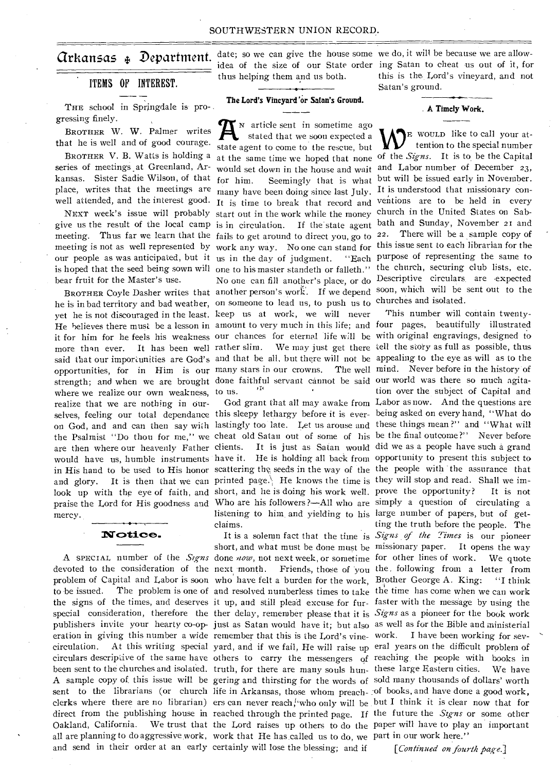# ITEMS OF INTEREST.

THE school in Springdale is pro-. gressing finely.

BROTHER W. W. Palmer writes that he is well and of good courage.

BROTHER V. B. Watts is holding a series of meetings at Greenland, Arkansas. Sister Sadie Wilson, of that place, writes that the meetings are well attended, and the interest good.

bear fruit for the Master's use.

where we realize our own weakness, to us. realize that we are nothing in Ourmercy.

# Notice.

eration in giving this number a wide remember that this is the Lord's vine- work. I have been working for sev-Oakland, California. all are planning to do aggressive work, work that He has called us to do, we part in our work here." and send in their order at an early certainly will lose the blessing; and if

thus helping them and us both.

# The Lord's Vineyard 'or Satan's Ground.

NEXT week's issue will probably start out in the work while the money church in the United States on Sabgive us the result of the local camp is in circulation. If the state agent bath and Sunday, November 21 and meeting. Thus far we learn that the fails to get around to direct you, go to  $22$ . There will be a sample copy of meeting is not as well represented by work any way. No one can stand for this issue sent to each librarian for the our people as was anticipated, but it us in the day of judgment. "Each purpose of representing the same to is hoped that the seed being sown will one to his master standeth or falleth." the church, securing club lists, etc. BROTHER Coyle Dasher writes that another person's work. If we depend soon, which will be sent out to the he is in bad territory and bad weather, on someone to lead us, to push us to churches and isolated. yet he is not discouraged in the least. keep us at work, we will never strength; and when we are brought done faithful servant cannot be said our world was there so much agita-N article sent in sometime ago **A** stated that we soon expected a state agent to come to the rescue, but many have been doing since last July. It is understood that missionary con- No one can fill another's place, or do Descriptive circulars. are expected

claims.

**Grkansas**  $\oint$  **Department.** date; so we can give the house some we do, it will be because we are allowidea of the size of our State order ing Satan to cheat us out of it, for this is the Lord's vineyard, and not

#### A Timcly Work.

at the same time we hoped that none of the *Signs.* It is to be the Capital would set down in the house and wait and Labor number of December 23, for him. Seemingly that is what but will be issued early in November. It is time to break that record and ventions are to be held in every WE WOULD like to call your attention to the special number

He believes there must be a lesson in amount to very much in this life; and four pages, beautifully illustrated it for him for he feels his weakness our chances for eternal life will be with original engravings, designed to more than ever. It has been well rather slim. We may just get there tell the story as full as possible, thus said that our importunities are God's and that be all, but there will not be appealing to the eye as will as to the opportunities, for in Him is our many stars in our crowns. The well mind. Never before in the history of selves, feeling our total dependance this sleepy lethargy before it is ever- being asked on every hand, "What do on God, and and can then say wiih lastingly too late. Let us arouse and these things mean ?" and "What will the Psalmist "Do thou for me," we cheat old Satan out of some of his be the final outcome?" Never before are then where our heavenly Father clients. It is just as Satan would did we as a people have such a grand would have us, humble instruments have it. He is holding all back from opportunity to present this subject to in His hand to be used to His honor scattering the seeds in the way of the the people with the assurance that and glory. It is then that we can printed page. He knows the time is they will stop and read. Shall we imlook up with the eye of faith, and short, and he is doing his work well. prove the opportunity? It is not praise the Lord for His goodness and Who are his followers ?—All who are simply a question of circulating a A SPECIAL number of the *Signs* done *now*, not next week, or sometime for other lines of work. We quote devoted to the consideration of the next month. Friends, those of you the, following from a letter from problem of Capital and Labor is soon who have felt a burden for the work, Brother George A. King: "I think to be issued. The problem is one of and resolved numberless times to take the time has come when we can work the signs of the times, and deserves it up, and still plead excuse for fur-faster with the message by using the special consideration, therefore the ther delay, remember please that it is Signs as a pioneer for the book work publishers invite your hearty co-op-just as Satan would have it; but also as well as for the Bible and ministerial circulation. At this writing special yard, and if we fail, He will raise up eral years on the difficult problem of circulars descriptive of the same have others to carry the messengers of reaching the people with books in been sent to the churches and isolated. truth, for there are many souls hun-these large Eastern cities. We have A sample copy of. this issue will be gering and thirsting for the words of sold many thousands of dollars' worth sent to the librarians (or church life in Arkansas, those whom preach-of books, and have done a good work, clerks where there are no librarian) ers can never reach, who only will be but I think it is clear now that for direct from the publishing house in reached through the printed page. If the future the *Signs* or some other God grant that all may awake from Labor as now. And the questions are listening to him and yielding to his large number of papers, but of get-It is a solemn fact that the time is Signs of the Times is our pioneer short, and what must be done must be missionary paper. It opens the way the Lord raises up others to do the paper will have to play an important This number will contain twentytion over the subject of Capital and ting the truth before the people. The

*[Continued on fourth page.]*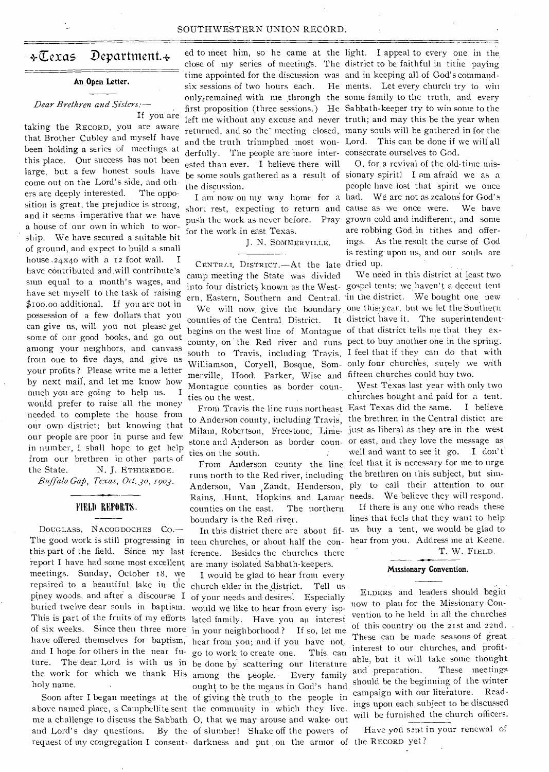#### SOUTHWESTERN UNION RECORD.

# $\div \overline{\mathbb{C}}$ exas Department. $\div$

#### **An Open Letter.**

# *Dear Brethren and Sisters: --*  If you are

taking the RECORD, you are aware that Brother Cubley and myself have been holding a series of meetings at this place. Our success has not been large, but a few honest souls have come out on the Lord's side, and others are deeply interested. The opposition is great, the prejudice is strong, and it seems imperative that we have a house of our own in which to worship. We have secured a suitable hit of ground, and expect to build a small house  $.24x40$  with a 12 foot wall. have contributed and.will contribute'a sum equal to a month's wages, and have set myself to the task of raising \$too.00 additional. If you are not in possession of a few dollars that you can give us, will you not please get some of our good books, and go out among your neighbors, and canvass from one to five days, and give us your profits ? Please write me a letter by next mail, and let me know how much you are going to help us. I would prefer to raise all the money needed to complete the house from our own district; but knowing that our people are poor in purse and few in number, I shall hope to get help from our brethren in other parts of the State. N. J. ETHEREDGE.

*Buffalo Gap, Texas, Oct. 30, 1903.* 

# FIELD REPORTS.

DOUGLASS, NACOGDOCHES Co.— The good work is still progressing in this part of the field. Since my last ference. Besides the churches there report I have had some most excellent are many isolated Sabbath-keepers. meetings. Sunday, October 18, we repaired to a beautiful lake in the church elder in the district. Tell us piney woods, and after a discourse  $I$  of your needs and desires. Especially buried twelve dear souls in baptism. would we like to hear from every iso-This is part of the fruits of my efforts lated family: Have you an interest of six weeks. Since then three more in your neighborhood ? If so, let me have offered themselves for baptism, hear from you; and if you have not, holy name.

six sessions of two hours each. derfully. The people are more inter-consecrate ourselves to God. ested than ever. I believe there will the discussion.

push the work as never before. Pray grown cold and indifferent, and some for the work in east Texas.

J. N. SommERvILLE.

CENTRLL DISTRICT. - At the late dried up. camp meeting the State was divided

counties of the Central District. It district have it. The superintendent begins on the west line of Montague of that district tells me that they excounty, on the Red river and runs pect to buy another one in the spring. south to Travis, including Travis, I feel that if they can do that with Williamson, Coryell, Bosque, Som- only four churches, surely we with merville, Hood, Parker, Wise and fifteen churches could buy two. Montague counties as border counties on the west.

to Anderson county, including Travis, the brethren in the Central distict are Milam, Robertson, Freestone, Lime- just as liberal as they are in the west stone and Anderson as border coun- or east, and they love the message as ties on the south.

runs north to the Red river, including the brethren on this subject, but sim-Anderson, Van Zandt, Henderson, ply to call their attention to our Rains, Hunt, Hopkins and Lamar needs. We believe they will respond. counties on the east. The northern boundary is the Red river.

teen churches, or about half the con- hear from you. Address me at Keene.

request of my congregation I conseut- darkness and put on the armor of the RECORD yet? and I hope for others in the near fu-go to work to create one. This can ture. The dear Lord is with us in be done by scattering our literature the work for which we thank His among the people. Every family Soon after I began meetings at the of giving the truth to the people in above named place, a Campbellite sent the community in which they live. me a challenge to discuss the Sabbath 0, that we may arouse and wake. out and Lord's day questions. By the of slumber! Shake off the powers of I would be glad to hear from every ought to be the means in God's hand

ed to meet him, so he came at the light. I appeal to every one in the close of my series of meeting's. The district to be faithful in tithe paying time appointed for the discussion was and in keeping all of God's commandonly<sub>g</sub>remained with me through the some family to the truth, and every first proposition (three sessions.) He Sabbath-keeper try to win some to the left me without any excuse and never truth; and may this be the year when returned, and so the' meeting closed, many souls will be gathered in for the and the truth triumphed most won-Lord. This can be done if we will all He ments. Let every church try to win

be some souls gathered as a result of sionary spirit! I am afraid we as a I am now on my way home for a had. We are not as zealous for God's short rest, expecting to return and cause as we once were. We have 0, fora revival of the old-time mispeople have lost that spirit we once are robbing God in tithes and offerings. As the result the curse of God is resting upon us, and our souls are

We need in this district at least two into four districts known as the West- gospel tents; we haven't a decent tent ern, Eastern, Southern and Central. in the district. We bought one new We will now give the boundary one this year, but we let the Southern

West Texas last year with only two churches bought and paid for a tent. From Travis the line runs northeast East Texas did the same. I believe well and want to see it go. I don't' From Anderson county the line feel that it is necessary for me to urge

If there is any one Who reads these lines that feels that they want to help In this district there are about fif- us buy a tent, we would be glad to

T. W. FIELD.

#### **Missionary Convention.**

ELDERS and leaders should begin now to plan for the Missionary Convention to he held in all the churches of this country on the 21st and 22nd. . These can be made seasons of great 'interest to our churches, and profitable, but it will take some thought and preparation. These meetings should be the beginning of the winter campaign with our literature. Readings upon each subject to be discussed will be furnished the church officers.

Have yon sent in your renewal of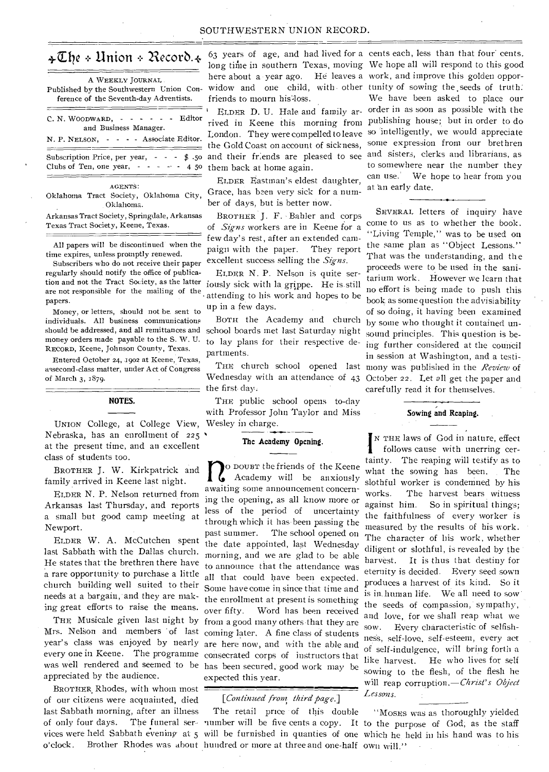# $\triangleleft\mathfrak{C}$ he + Union + Record. $\triangleleft$

C. N. WOODWARD,  $\cdot$  - - - - - Editor A WEEKLY JOURNAL Published by the Southwestern Union Conference of the Seventh-day Adventists.

Subscription Price, per year,  $- \frac{4}{5}$ .50<br>Clubs of Ten, one year,  $- - -$  4.50 Clubs of Ten, one year, - and Business Manager. N. P. NELSON, - - - - Associate Editor.

AGENTS:

Oklahoma Tract Society, Oklahoma City, Oklahoma.

Arkansas Tract Society, Springdale, Arkansas Texas Tract Society, Keene, Texas.

All papers will be discontinued when the time expires, unless promptly renewed.

Subscribers who do not receive their paper regularly should notify the office of publication and not the Tract Society, as the latter iously sick with la grippe. He is still are not responsible for the mailing of the papers.

Money, or letters, should not be. sent to individuals. All business communications should be addressed, and all remittances and money orders made payable to the S. W. U. RECORD, Keene, Johnson County, Texas.

Entered October 24, 1902 at Keene, Texas, assecond-class matter, under Act of Congress of March 3, 1879.

### **NOTES.**

UNION College, at College View, Wesley in charge. Nebraska, has an enrollment of  $225$ at the present time, and an excellent class of students too.

BROTHER J. W. Kirkpatrick and family arrived in Keene last night.

ELDER N. P. Nelson returned from Arkansas last Thursday, and reports a small but good camp meeting at Newport.

ELDER W. A. McCutchen spent last Sabbath with the Dallas church. He states that' the brethren there have a rare opportunity to purchase a little church building well suited to their needs at a bargain,' and they are making great efforts to raise the means.

Mrs. Nelson and members 'of last coming later. A fine class of students year's class was enjoyed by nearly are here now, and with the able and every one in Keene. The programme consecrated corps of instructors that was well rendered and seemed 'to be has been secured, good work may be appreciated by the audience.

BROTHER, Rhodes, with whom most of our citizens were acquainted, died last Sabbath morning, after an illness friends to mourn his loss.

London. They were compelled to leave the Gold Coast on account of sickness, them back at home again.

ELDER Eastman's eldest daughter, Grace, has been very sick for a number of days, but is better now.

BROTHER J. F. Bahler and corps of *Signs* workers are in Keene for a few day's rest, after an extended campaign with the paper. They report excellent success selling the *Signs.* 

• attending to his work and hopes to be ELDER N. P. Nelson is quite serup in a few days.

BOTH the Academy and church school boards met last Saturday night to lay plans for their respective departments.

the first day.

THE public school opens to-day with Professor John Taylor and Miss

#### **The Academy Opening.**

THE Musicale given last night by from a good many others that they are **n** 0 DOUBT the friends of the Keene Academy will be anxiously awaiting some announcement concerning the opening, as all know more or less of the period of uncertainty through which it has been passing the past summer. The school opened on the date appointed, last Wednesday morning, and we are glad to be able to announce that the attendance was all that could have been expected. Some have come in since that time and the enrollment at present is something over fifty. WOrd has been received expected this year.

### [*Continued from third page.*]

o'clock. Brother Rhodes was about hundred or more at three and one-half own will." The retail price of this double

63 years of age, and had lived for a cents each, less than that four' cents. long time in southern Texas, moving We hope all will respond to this good here about a year ago. He leaves a work, and improve this golden opporwidow and one child, with other tunity of sowing the seeds of truth. ' ELDER D. U. Hale and family ar-order in as soon as possible with the rived in Keene this morning from publishing house; but in order to do and their friends are pleased to see and sisters, clerks and librarians, as We have been asked to place our so intelligently, we would appreciate some expression from our brethren to somewhere near the number they can use; We hope to hear from you at an early date.

THE church school opened last mony was published in the *Review* of Wednesday with an attendance of 43 October 22. Let all get the paper and SEVERAL letters of inquiry have come to us as to whether the book. "Living Temple," was to be used on the same plan as "Object Lessons." That was the understanding, and the proceeds were to be used in the sanitarium work. However we learn that no effort is being made to push this book as some question the advisiability of so doing, it having been examined by some who thought it contained unsound principles. This question is being further considered at the council in session at Washington, and a testicarefully read it for themselves.

# **Sowing and Reaping.**

 $\begin{bmatrix} N & TH \\roll &roll \end{bmatrix}$ N THE laws of God in nature, effect follows cause with unerring certainty. The reaping will testify as to what the sowing has been. The slothful worker is condemned by his<br>works. The harvest bears witness The harvest bears witness against him. So in spiritual things; the faithfulness of every worker is measured by the results of his work. The character of his work, whether diligent or slothful, is revealed by the harvest. It is thus that destiny for eternity is decided. Every seed sown produces a harvest of its kind. So it is in, human life. We all need to sow the seeds of compassion, sympathy, and love, for we shall reap what we sow. Every characteristic of selfishness, self-love, self-esteem, every act of self-indulgence, will bring forth a like harvest. He who lives for self sowing to the flesh, of the flesh he will reap corruption.—Christ'*s Object Lessons.* 

of only four days. The funeral ser-- number will be five cents a copy. It to the purpose of God; as the staff vices were held Sabbath evening at 5 will be furnished in quanties of one which he held in his hand was to his "MOSES was as thoroughly yielded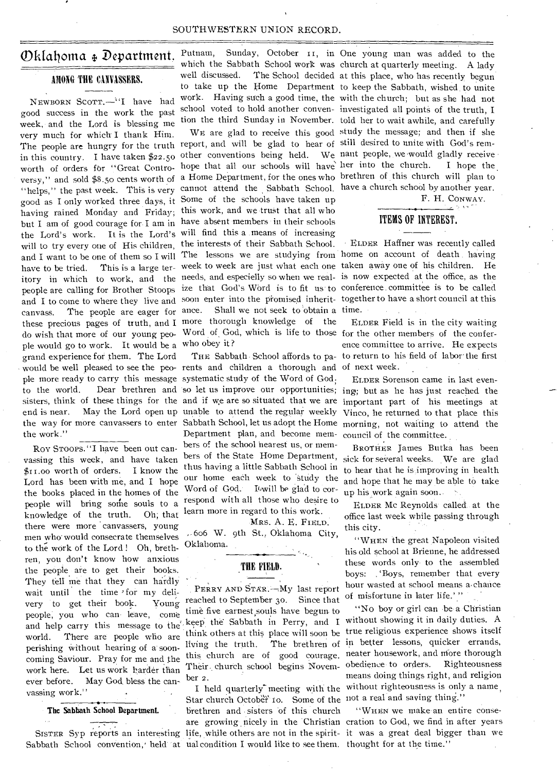#### SOUTHWESTERN UNION RECORD.

# Oklahoma + Department. Putnam,

# AMONG THE CANVASSERS.

NEWBORN SCOTT.<sup>"'</sup>I have had good success in the work the past week, and the Lord is blessing me very much for which **I** thank Him. good as I only worked three days, it Some of the schools have taken up having rained Monday and Friday; this work, and we trust that all who but I am of good courage for I am in have absent members in their schools the Lord's work. It is the Lord's will find this a means of increasing will to try every one of His children, the interests of their Sabbath School. ple would go to work. It would be a who obey it ? grand experience for them. The Lord would be well pleased to see the peo-rents and children a thorough and of next week. ple more ready to carry this message systematic study of the Word of God; end is near. May the Lord open up unable to attend the regular weekly the work."

Roy STOOPS. "I have been out canvassing this week, and have taken \$1r.00 worth of orders. I know the Lord has been with me, and I hope the books placed in the homes of the people will bring some souls to a knowledge of the truth. Oh; that there were more 'canvassers, young men who would consecrate themselves to the work of the Lord ! Oh, brethren, you don't know how anxious the people are to get their books. They tell me that they can hardly wait until the time for my delivery to get their book. Young people, you who can leave, come and help carry this message to the' world. There are people who are perishing without hearing of a sooncoming Saviour. Pray for me and the work here. Let us work harder than ever before. May God bless the canvassing work." - .

#### **The Sabbath School Department.**

Sabbath School convention, held at ual condition I would like to see them. thought for at the time."

Putnam, Sunday, October II, in One young man was added to the which the Sabbath School work was church at quarterly meeting. A lady well discussed. The School decided at this place, who has recently begun to take up the Home Department to keep the Sabbath, wished to unite work. Having such a good time, the with the church; but as she had not school voted to hold another conven-investigated all points of the truth, I tion the third Sunday in November. told her to wait awhile, and carefully

The people are hungry for the truth report, and will be glad to hear of still desired to unite with God's remin this country. I have taken \$22.50 other conventions being held. We nant people, we would gladly receive m this country. I have taken part of the church of orders for "Great Contro-hope that all our schools will have her into the church. I hope the worth of states very sensule that the content of a Home Department, for the ones who brethren of this church will plan to "helps," the past week. This is very cannot attend the Sabbath School. have a church school by another year. and I want to be one of them so I will The lessons we are studying from home on account of death having have to be tried. This is a large ter-week to week are just what each one taken away one of his children. He itory in which to work, and the needs, and especielly so when we real- is now expected at the office, as the people are calling for Brother Stoops ize that God's Word is to fit us to conference committee is to be called and I to come to where they live and soon enter into the promised inherit- together to have a short council at this canvass. The people are eager for ance. Shall we not seek to obtain a time. these precious pages of truth, and I more thorough knowledge of the do wish that more of our young peo-Word of God, which is life to those for the other members of the confer-

> Department plan, and become members of the school nearest us, or members of the State Home Department, thus having a little Sabbath School in our home each week to 'Study the Word of God. I will be glad to correspond with all those who desire to learn more in regard to this work.

#### MRS. A. E. FIELD.

606 W. 9th St., Oklahoma City, Oklahoma.

# THE FIELD.

PERRY AND STAR.-My last report reached to September 3o. Since that time five earnest souls have begun to think others at this place will soon be living the truth. The brethren of ber 2.

Star church October 10. Some of the not a real and saving thing." brethren and sisters of this church

WE are glad to receive this good study the message; and then if she

F. **H.** CONWAY.

# ITEMS OF INTEREST.

• ELDER Haffner was recently called

THE Sabbath School affords to pa-to return to his field of labor the first ELDER Field is in the city waiting ence committee to arrive. He expects

to the world. Dear brethren and so let us improve our opportunities; ing; but as he has just reached the sisters, think of these things for the and if we are so situated that we are important part of his meetings at the way for more canvassers to enter Sabbath School, let us adopt the Home morning, not waiting to attend the ELDER Sorenson came in last even-Vinco, he returned to that place this council of the committee.

> BROTHER James Butka has been sick for several weeks. We are glad to hear that he is improving in health and hope that he may be able to take up his work again soon.. .

ELDER ELDER Mc Reynolds called at the office last week while passing through this city.

"WHEN the great Napoleon visited his old school at Brienne, he addressed these words only to the assembled boys: : 'Boys, remember that every hour wasted at school means a. chance of misfortune in later life.'"

keep the Sabbath in Perry, and I without showing it in daily duties. A this church are of good courage. neater housework, and more thorough Their. church school begins Novem-obedience to orders. Righteousness I held quarterly meeting with the without righteousness is only a name, "No boy or girl can be a Christian true religious experience shows itself in better lessons, quicker errands, means doing things right, and religion

are growing , nicely in the Christian cration to God, we find in after years SISTER Syp reports an interesting life, while others are not in the spirit- it was a great deal bigger than we "WHEN we make an entire conse-